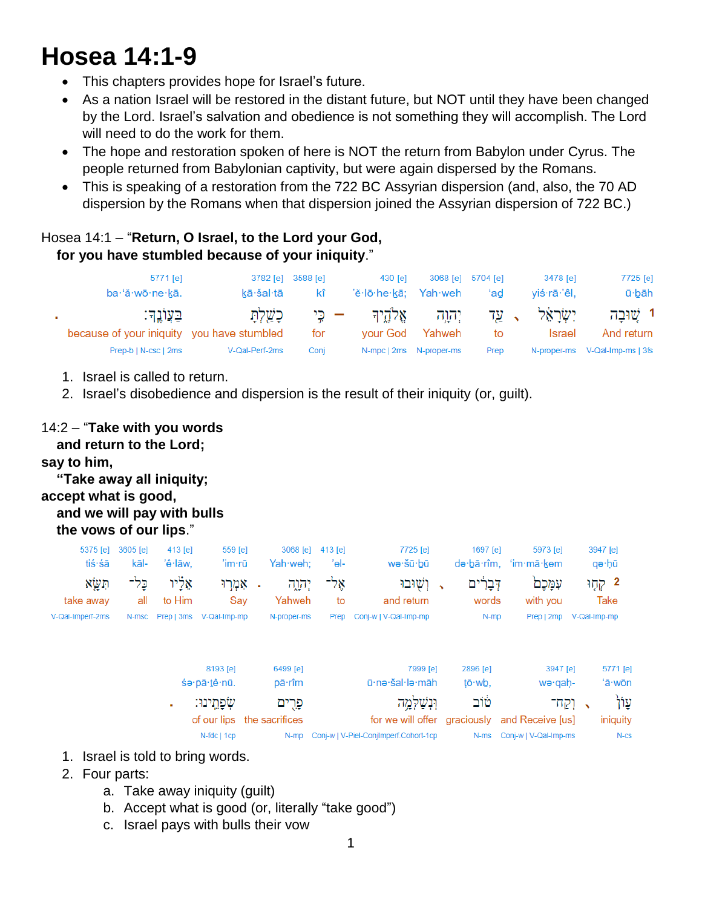# **Hosea 14:1-9**

- This chapters provides hope for Israel's future.
- As a nation Israel will be restored in the distant future, but NOT until they have been changed by the Lord. Israel's salvation and obedience is not something they will accomplish. The Lord will need to do the work for them.
- The hope and restoration spoken of here is NOT the return from Babylon under Cyrus. The people returned from Babylonian captivity, but were again dispersed by the Romans.
- This is speaking of a restoration from the 722 BC Assyrian dispersion (and, also, the 70 AD dispersion by the Romans when that dispersion joined the Assyrian dispersion of 722 BC.)

# Hosea 14:1 – "**Return, O Israel, to the Lord your God, for you have stumbled because of your iniquity**."

| 5771 [e]                                                  |                   | 3782 [e] 3588 [e] | 430 [e]              |                           | 3068 [e] 5704 [e] | 3478 [e]                                              | 7725 [e]                       |
|-----------------------------------------------------------|-------------------|-------------------|----------------------|---------------------------|-------------------|-------------------------------------------------------|--------------------------------|
| ba·'ă·wō·ne·kā.                                           | kā·šal·tā         | kî                | 'ĕ·lō·he·kā; Yah·weh |                           | ʻad               | viś∙rā∙'êl.                                           | ū·bāh                          |
| ּבִעֲוֹנֵדּ<br>because of your iniquity you have stumbled | – כִּי כָשַׁלְתָּ | for               |                      | your God Yahweh           | to                | יִשְׂרַאֵּל , עַד יִהְוֵה אֱלֹהֱיִךְ<br><b>Israel</b> | 1 שובה<br>And return           |
| Prep-b   N-csc   2ms                                      | V-Qal-Perf-2ms    | Conj              |                      | N-mpc   2ms   N-proper-ms | Prep              |                                                       | N-proper-ms V-Qal-Imp-ms   3fs |

- 1. Israel is called to return.
- 2. Israel's disobedience and dispersion is the result of their iniquity (or, guilt).

## 14:2 – "**Take with you words**

 **and return to the Lord;**

#### **say to him,**

### **"Take away all iniquity; accept what is good, and we will pay with bulls the vows of our lips**."

| $t$ iś·śā        | 5375 [e] 3605 [e]<br>kāl- | $413$ [e]<br>'ê∙lāw. | $559$ [e]<br>'im∙rū           | 3068 [e] 413 [e]<br>Yah·weh: | 'el- | 7725 [e]<br>wə∙šū∙bū       | 1697 [e]<br>də bā rîm. | 5973 [e]<br>ʻim∙mā∙kem | 3947 [e]<br>qə∙hū |
|------------------|---------------------------|----------------------|-------------------------------|------------------------------|------|----------------------------|------------------------|------------------------|-------------------|
| תשא              | כל־                       | אליו                 | . אמרו                        | יהוה                         | אל־  | ג ושׁוּבוּ                 | דִּבַרִים              | עמכם                   | 2 קְחֶוּ          |
| take away        | all                       | to Him               | Sav                           | Yahweh                       | to   | and return                 | words                  | with you               | Take              |
| V-Qal-Imperf-2ms |                           |                      | N-msc Prep   3ms V-Qal-Imp-mp | N-proper-ms                  |      | Prep Conj-w   V-Qal-Imp-mp | N-mp                   | Prep   2mp             | V-Qal-Imp-mp      |

| 8193 [e]<br>śe·pā·tê·nū. | 6499 [e]<br>ōā∙rîm         | 7999 [e]<br>ū·nə·šal·lə·māh                | 2896 [e]<br>tō·wb. | 3947 [e]<br>we·gah-                                                         | 5771 [e]<br>'ā∙wōn  |
|--------------------------|----------------------------|--------------------------------------------|--------------------|-----------------------------------------------------------------------------|---------------------|
| שִׂפַחֲינוּ:             | פרים                       | וּנִשׁלְמֵה                                | טוב                | $\overline{\phantom{a}}$ , וקח                                              | עוֹן                |
| $N$ -fdc   1cp           | of our lips the sacrifices | N-mp Conj-w   V-Piel-ConjImperf.Cohort-1cp |                    | for we will offer graciously and Receive [us]<br>N-ms Conj-w   V-Qal-Imp-ms | iniquity<br>$N$ -CS |

- 1. Israel is told to bring words.
- 2. Four parts:
	- a. Take away iniquity (guilt)
	- b. Accept what is good (or, literally "take good")
	- c. Israel pays with bulls their vow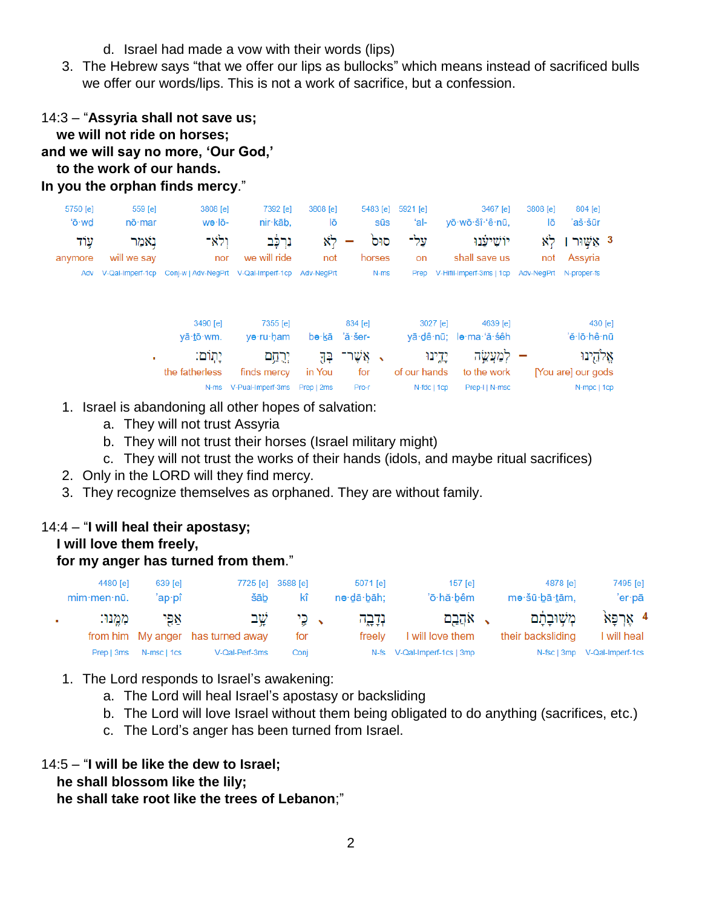- d. Israel had made a vow with their words (lips)
- 3. The Hebrew says "that we offer our lips as bullocks" which means instead of sacrificed bulls we offer our words/lips. This is not a work of sacrifice, but a confession.

| 14:3 - "Assyria shall not save us;  |
|-------------------------------------|
| we will not ride on horses;         |
| and we will say no more, 'Our God,' |
| to the work of our hands.           |
| In you the orphan finds mercy."     |

| 804 [e]                  | 3808 [e]               | 3467 [e]                           | 5921 [e]     |                       | 5483 [e]           | 3808 [e] | 7392 [e]              | 3808 [e]                                        | 559 [e]          | 5750 [e] |
|--------------------------|------------------------|------------------------------------|--------------|-----------------------|--------------------|----------|-----------------------|-------------------------------------------------|------------------|----------|
| 'aš·šūr                  | lō                     | vō·wō·šî·'ê·nū.                    | ʻal-         | <b>S</b> ūs           |                    | lō       | nir·kāb,              | wə·lō-                                          | $n\bar{o}$ ·mar  | 'ō·wd    |
| 3 אַשור                  | לא                     | יוֹשִׁיעָנוּ                       | על־          | סוּם                  |                    | לא       | נִרְכָּ֫ב             | ולא־                                            | נאמר             | עוד      |
| Assyria                  | not                    | shall save us                      | on           |                       | horses             | not      | we will ride          | nor                                             | will we say      | anymore  |
|                          | Adv-NeaPrt N-proper-fs | Prep V-Hifil-Imperf-3ms   1cp      |              | N-ms                  |                    |          |                       | Conj-w   Adv-NegPrt V-Qal-Imperf-1cp Adv-NegPrt | V-Qal-Imperf-1cp | Adv      |
| $430$ [e]<br>'ĕ·lō·hê·nū |                        | 4639 [e]<br>yā·dê·nū; le·ma·'ă·sêh | $3027$ [e]   |                       | 834 [e]<br>'ă·šer- | bə∙kā    | 7355 [e]<br>yə·ru·ham | 3490 [e]<br>yā·tō·wm.                           |                  |          |
| אֱלֹהֶינוּ               |                        | למעשה                              | יֵדֵינוּ     | $\tilde{\phantom{a}}$ | אֲשֶׁר־            | 필구       | ירחם                  | יֵתְוֹם:                                        |                  |          |
| [You are] our gods       |                        | to the work                        | of our hands |                       | for                | in You   | finds mercy           | the fatherless                                  |                  |          |

- 1. Israel is abandoning all other hopes of salvation:
	- a. They will not trust Assyria
	- b. They will not trust their horses (Israel military might)

N-ms V-Pual-Imperf-3ms Prep | 2ms

c. They will not trust the works of their hands (idols, and maybe ritual sacrifices)

Pro-r

N-fdc | 1cp Prep-I | N-msc

N-mpc | 1cp

- 2. Only in the LORD will they find mercy.
- 3. They recognize themselves as orphaned. They are without family.

## 14:4 – "**I will heal their apostasy;**

 **I will love them freely,**

#### **for my anger has turned from them**."

|              | 4480 [e]       | $639$ [e]   |                                   | 7725 [e] 3588 [e] | 5071 [e]   | $157$ [e]                   | 4878 [e]          | 7495 [e]                     |
|--------------|----------------|-------------|-----------------------------------|-------------------|------------|-----------------------------|-------------------|------------------------------|
|              | $min$ ·men·nū. | 'ap∙pî      | šāb                               | kî                | nə∙dā∙bāh; | 'ō·hă·bêm                   | mə·šū·bā·tām,     | 'er∙pā                       |
| $\mathbf{r}$ | ממנו:          | אפי         | שב                                | י ⊊י              | נְדָבָה    | √ אקבם                      | משובתם            | 4 אַרְפַּא                   |
|              |                |             | from him My anger has turned away | for               | freely     | I will love them            | their backsliding | I will heal                  |
|              | Prep   3ms     | N-msc   1cs | V-Qal-Perf-3ms                    | Coni              |            | N-fs V-Qal-Imperf-1cs   3mp |                   | N-fsc   3mp V-Qal-Imperf-1cs |

- 1. The Lord responds to Israel's awakening:
	- a. The Lord will heal Israel's apostasy or backsliding
	- b. The Lord will love Israel without them being obligated to do anything (sacrifices, etc.)
	- c. The Lord's anger has been turned from Israel.

#### 14:5 – "**I will be like the dew to Israel; he shall blossom like the lily;**

 **he shall take root like the trees of Lebanon**;"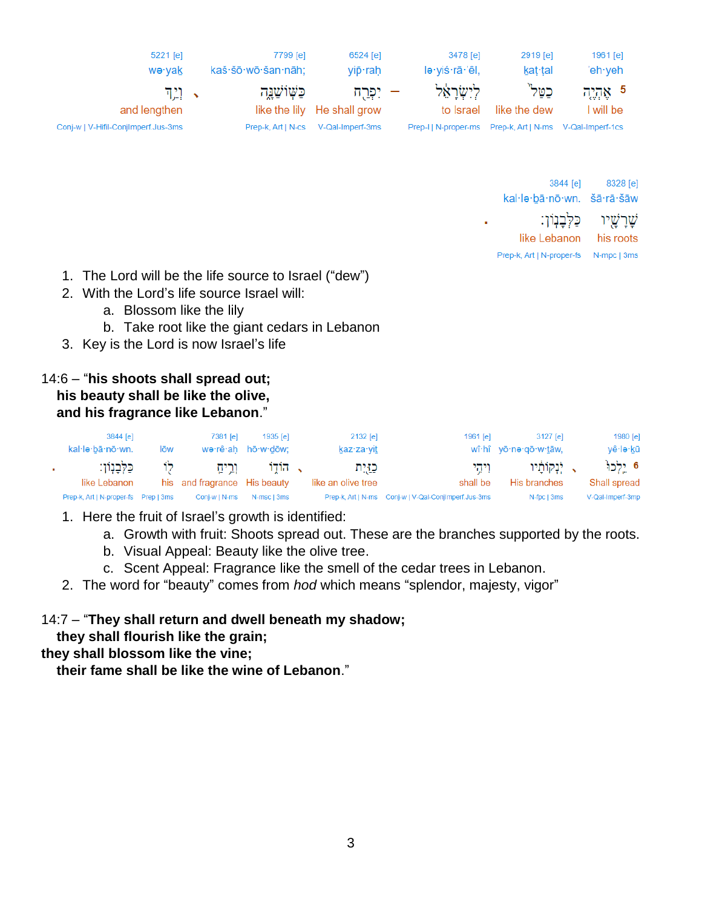| $5221$ [e]<br>wə∙yak                | 7799 [e]<br>kaš·šō·wō·šan·nāh; | 6524 [e]<br>vipื∙rah        | 3478 [e]<br>lə∙yiś∙rā∙'êl, | 2919 [e]<br>kat∙tal                 | 1961 [e]<br>'eh∙veh∶ |
|-------------------------------------|--------------------------------|-----------------------------|----------------------------|-------------------------------------|----------------------|
| $\mathbb{E}[\mathbb{P}^1]$ .        | כַּשְׁוֹשָׁנֵה                 | – יִפְרַח                   | לישראל                     | כטל`                                | 5 אֶהֶיֶה            |
| and lengthen                        |                                | like the lily He shall grow | to Israel                  | like the dew                        | I will be            |
| Conj-w   V-Hifil-ConjImperf.Jus-3ms | Prep-k, Art   N-cs             | V-Qal-Imperf-3ms            | Prep-I   N-proper-ms       | Prep-k, Art   N-ms V-Qal-Imperf-1cs |                      |

| 3844 [e]                   |
|----------------------------|
| kal·lə·bā·nō·wn. šā·rā·šāw |
| שַׁרַשַׁיו כַּלְבַנִוֹן:   |
| like Lebanon               |
| Prep-k, Art   N-proper-fs  |
|                            |

- 1. The Lord will be the life source to Israel ("dew")
- 2. With the Lord's life source Israel will:
	- a. Blossom like the lily
	- b. Take root like the giant cedars in Lebanon
- 3. Key is the Lord is now Israel's life

## 14:6 – "**his shoots shall spread out; his beauty shall be like the olive, and his fragrance like Lebanon**."

|    | 3844 [e]<br>kal·lə·bā·nō·wn.            | lōw | 7381 [e]                     | 1935 <b>[e]</b><br>wə·rê·ah hō·w·dōw; | 2132 [e]<br>kaz·za·vit | 1961 [e]                                             | 3127 lei<br>wî·hî yō·nə·gō·w·tāw, | 1980 [e]<br>yê le kū |
|----|-----------------------------------------|-----|------------------------------|---------------------------------------|------------------------|------------------------------------------------------|-----------------------------------|----------------------|
| ×. | ּכַלְּבַנְוֹן:                          |     | וְרֵיהַ לוֹ                  | ג הודו                                | כַזַיִּת               | ויהי                                                 | יִנְקוֹתַיו                       | 6 יֵלְכוּ            |
|    | like Lebanon                            |     | his and fragrance His beauty |                                       | like an olive tree     | shall be                                             | His branches                      | Shall spread         |
|    | Prep-k, Art   N-proper-fs    Prep   3ms |     | Coni-w   N-ms                | N-msc I 3ms                           |                        | Prep-k, Art   N-ms Conj-w   V-Qal-ConjImperf.Jus-3ms | N-fpc   3ms                       | V-Qal-Imperf-3mp     |

- 1. Here the fruit of Israel's growth is identified:
	- a. Growth with fruit: Shoots spread out. These are the branches supported by the roots.
	- b. Visual Appeal: Beauty like the olive tree.
	- c. Scent Appeal: Fragrance like the smell of the cedar trees in Lebanon.
- 2. The word for "beauty" comes from *hod* which means "splendor, majesty, vigor"

# 14:7 – "**They shall return and dwell beneath my shadow;**

 **they shall flourish like the grain;**

**they shall blossom like the vine;**

 **their fame shall be like the wine of Lebanon**."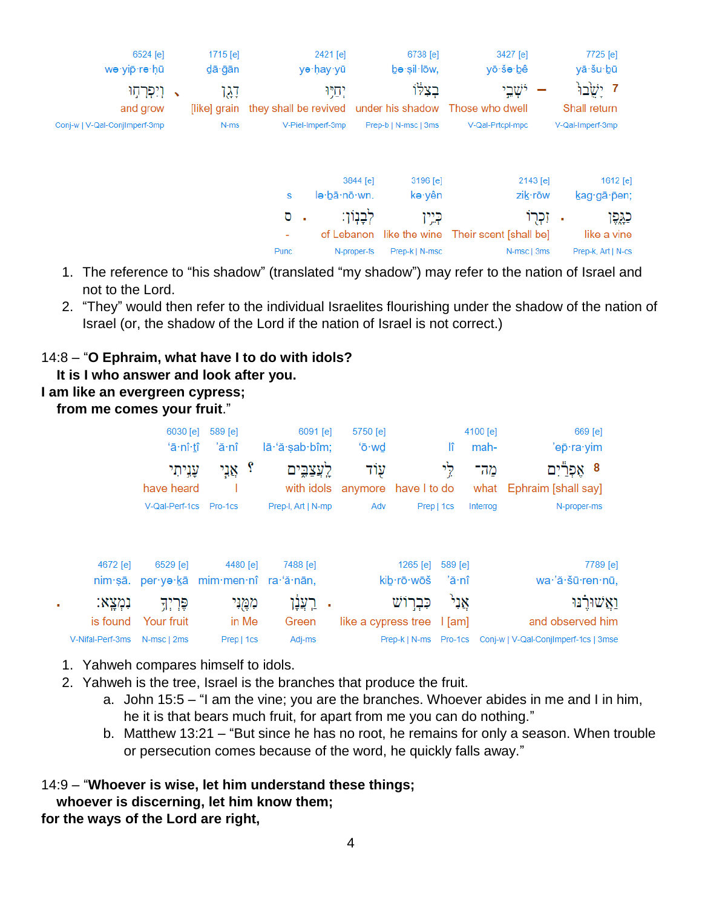|          | 7725 [e]           |          | 3427 [e]                             | 6738 [e]             |              | 2421 [e]                                               | 1715 $[e]$   |              | 6524 [e]                      |  |
|----------|--------------------|----------|--------------------------------------|----------------------|--------------|--------------------------------------------------------|--------------|--------------|-------------------------------|--|
|          | yā·šu·bū           |          | yō·šə·bê                             | be sil low,          |              | yə·ḥay·yū                                              | dā∙ğān       |              | wə·yip·rə·hū                  |  |
|          | ז יָשֲׂבוּ         |          | יֹשְׁבֵי                             | בצלו                 | יְחִיוּ      |                                                        | דְגָן        | $\mathbf{v}$ | וִיִפְרְחָוּ                  |  |
|          | Shall return       |          |                                      |                      |              | they shall be revived under his shadow Those who dwell | [like] grain |              | and grow                      |  |
|          | V-Qal-Imperf-3mp   |          | V-Qal-Prtcpl-mpc                     | Prep-b   N-msc   3ms |              | V-Piel-Imperf-3mp                                      | N-ms         |              | Conj-w   V-Qal-ConjImperf-3mp |  |
|          |                    |          |                                      |                      |              |                                                        |              |              |                               |  |
| 1612 [e] |                    | 2143 [e] |                                      | 3196 [e]             | 3844 [e]     |                                                        |              |              |                               |  |
|          | kag·gā·pen;        | zik·rōw  |                                      | kə∙yên               | lə·bā·nō·wn. | S                                                      |              |              |                               |  |
| כגֵפֶּן  | ٠                  | זִכְרוֹ  |                                      | כְּיֵין              | לִבְנִוּן:   | σ<br>×                                                 |              |              |                               |  |
|          | like a vine        |          | like the wine Their scent [shall be] |                      | of Lebanon   | ٠                                                      |              |              |                               |  |
|          | Prep-k, Art   N-cs |          | N-msc   3ms                          | Prep-k   N-msc       | N-proper-fs  | <b>Punc</b>                                            |              |              |                               |  |

- 1. The reference to "his shadow" (translated "my shadow") may refer to the nation of Israel and not to the Lord.
- 2. "They" would then refer to the individual Israelites flourishing under the shadow of the nation of Israel (or, the shadow of the Lord if the nation of Israel is not correct.)

## 14:8 – "**O Ephraim, what have I to do with idols?**

- **It is I who answer and look after you.**
- **I am like an evergreen cypress;**

 **from me comes your fruit**."

|                  | 6030 [e]               | 589 [e]                        | $6091$ [e]         | 5750 [e]                   |            |            | 4100 [e] | 669 [e]                                                          |
|------------------|------------------------|--------------------------------|--------------------|----------------------------|------------|------------|----------|------------------------------------------------------------------|
|                  | ʻā∙nî∙tî               | 'ă∙nî                          | lā 'ă şab bîm;     | 'ō·wd                      |            | lî         | mah-     | 'ep⊤ra∙yim                                                       |
|                  | עָנִיתִי               | ç<br>אָנֵי                     |                    | עוֹד                       |            | לי         | מה־      | 8 אפרֿ                                                           |
|                  | have heard             |                                | with idols         | anymore have I to do       |            |            |          | what Ephraim [shall say]                                         |
|                  | V-Qal-Perf-1cs Pro-1cs |                                | Prep-I, Art   N-mp | Adv                        |            | Prep   1cs | Interrog | N-proper-ms                                                      |
|                  |                        |                                |                    |                            |            |            |          |                                                                  |
| 4672 [e]         | 6529 [e]               | 4480 [e]                       | 7488 [e]           |                            | 1265 [e]   | 589 [e]    |          | 7789 [e]                                                         |
| nim·sā.          |                        | per ya kā mim men nî ra a nān, |                    |                            | kib·rō·wōš | 'ă∙nî      |          | wa·'ă·šū·ren·nū,                                                 |
| נמצא:            | פֶּרְיִךָ              | מְמֻנִי                        | רִצְנָן            |                            | כִּבְרוֹשׁ | אָנִי      |          | <u>ואשור</u> בו                                                  |
| is found         | Your fruit             | in Me                          | Green              | like a cypress tree   [am] |            |            |          | and observed him                                                 |
| V-Nifal-Perf-3ms | N-msc   2ms            | Prep   1cs                     | Adj-ms             |                            |            |            |          | Prep-k   N-ms    Pro-1cs    Conj-w   V-Qal-ConjImperf-1cs   3mse |

- 1. Yahweh compares himself to idols.
- 2. Yahweh is the tree, Israel is the branches that produce the fruit.
	- a. John 15:5 "I am the vine; you are the branches. Whoever abides in me and I in him, he it is that bears much fruit, for apart from me you can do nothing."
	- b. Matthew 13:21 "But since he has no root, he remains for only a season. When trouble or persecution comes because of the word, he quickly falls away."

## 14:9 – "**Whoever is wise, let him understand these things; whoever is discerning, let him know them; for the ways of the Lord are right,**